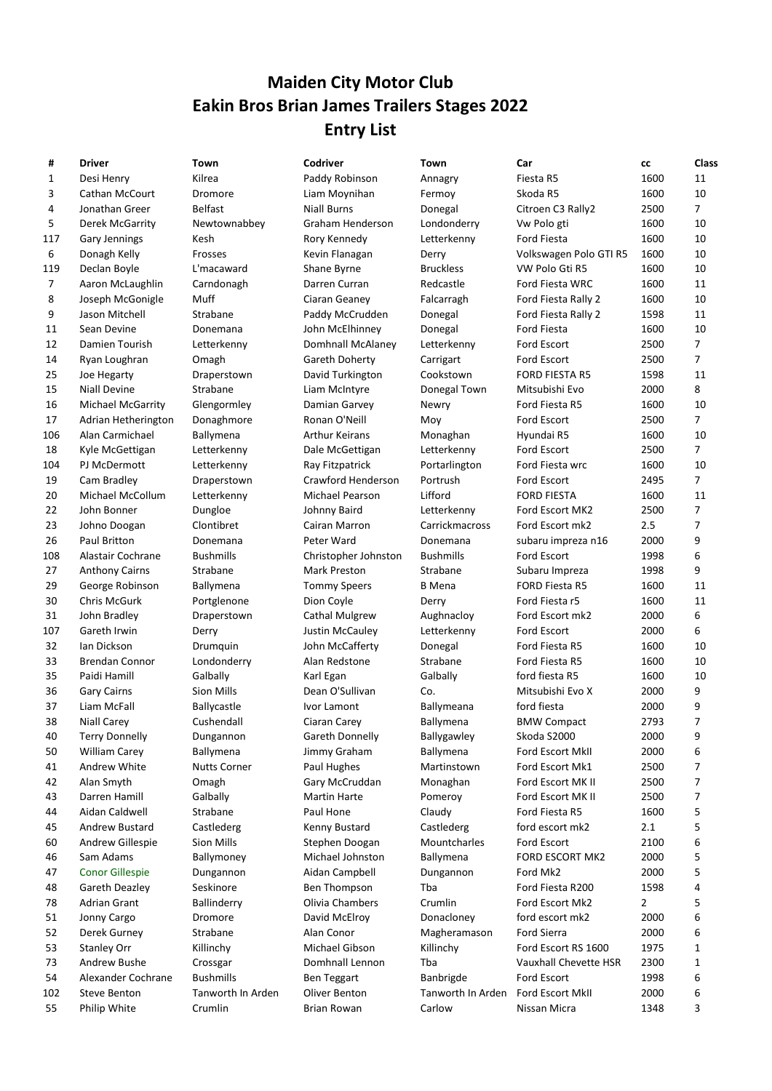## Maiden City Motor Club Eakin Bros Brian James Trailers Stages 2022 Entry List

| #            | <b>Driver</b>                             | Town                                  | Codriver                            | Town                           | Car                                 | cс           | Class          |
|--------------|-------------------------------------------|---------------------------------------|-------------------------------------|--------------------------------|-------------------------------------|--------------|----------------|
| $\mathbf{1}$ | Desi Henry                                | Kilrea                                | Paddy Robinson                      | Annagry                        | Fiesta R5                           | 1600         | 11             |
| 3            | Cathan McCourt                            | Dromore                               | Liam Moynihan                       | Fermoy                         | Skoda R5                            | 1600         | 10             |
| 4            | Jonathan Greer                            | <b>Belfast</b>                        | <b>Niall Burns</b>                  | Donegal                        | Citroen C3 Rally2                   | 2500         | $\overline{7}$ |
| 5            | <b>Derek McGarrity</b>                    | Newtownabbey                          | Graham Henderson                    | Londonderry                    | Vw Polo gti                         | 1600         | 10             |
| L17          | <b>Gary Jennings</b>                      | Kesh                                  | Rory Kennedy                        | Letterkenny                    | Ford Fiesta                         | 1600         | 10             |
| 6            | Donagh Kelly                              | Frosses                               | Kevin Flanagan                      | Derry                          | Volkswagen Polo GTI R5              | 1600         | 10             |
| 119          | Declan Boyle                              | L'macaward                            | Shane Byrne                         | <b>Bruckless</b>               | VW Polo Gti R5                      | 1600         | 10             |
| 7            | Aaron McLaughlin                          | Carndonagh                            | Darren Curran                       | Redcastle                      | Ford Fiesta WRC                     | 1600         | 11             |
| 8            | Joseph McGonigle                          | Muff                                  | Ciaran Geaney                       | Falcarragh                     | Ford Fiesta Rally 2                 | 1600         | 10             |
| 9            | Jason Mitchell                            | Strabane                              | Paddy McCrudden                     | Donegal                        | Ford Fiesta Rally 2                 | 1598         | 11             |
| 11           | Sean Devine                               | Donemana                              | John McElhinney                     | Donegal                        | Ford Fiesta                         | 1600         | 10             |
| 12           | Damien Tourish                            | Letterkenny                           | Domhnall McAlaney                   | Letterkenny                    | Ford Escort                         | 2500         | $\overline{7}$ |
| 14           | Ryan Loughran                             | Omagh                                 | Gareth Doherty                      | Carrigart                      | Ford Escort                         | 2500         | 7              |
| 25           | Joe Hegarty                               | Draperstown                           | David Turkington                    | Cookstown                      | <b>FORD FIESTA R5</b>               | 1598         | 11             |
| 15           | <b>Niall Devine</b>                       | Strabane                              | Liam McIntyre                       | Donegal Town                   | Mitsubishi Evo                      | 2000         | 8              |
| 16           | <b>Michael McGarrity</b>                  | Glengormley                           | Damian Garvey                       | Newry                          | Ford Fiesta R5                      | 1600         | 10             |
| 17           | Adrian Hetherington                       | Donaghmore                            | Ronan O'Neill                       | Moy                            | Ford Escort                         | 2500         | 7              |
| 106          | Alan Carmichael                           | Ballymena                             | <b>Arthur Keirans</b>               | Monaghan                       | Hyundai R5                          | 1600         | 10             |
| 18           | Kyle McGettigan                           | Letterkenny                           | Dale McGettigan                     | Letterkenny                    | Ford Escort                         | 2500         | 7              |
| 104          | PJ McDermott                              | Letterkenny                           | Ray Fitzpatrick                     | Portarlington                  | Ford Fiesta wrc                     | 1600         | 10             |
| 19           | Cam Bradley                               | Draperstown                           | Crawford Henderson                  | Portrush                       | Ford Escort                         | 2495         | $\overline{7}$ |
| 20           | Michael McCollum                          | Letterkenny                           | Michael Pearson                     | Lifford                        | <b>FORD FIESTA</b>                  | 1600         | 11             |
| 22           | John Bonner                               | Dungloe                               | Johnny Baird                        | Letterkenny                    | Ford Escort MK2                     | 2500         | $\overline{7}$ |
| 23           | Johno Doogan                              | Clontibret                            | Cairan Marron                       | Carrickmacross                 | Ford Escort mk2                     | 2.5          | 7              |
| 26           | Paul Britton                              | Donemana                              | Peter Ward                          | Donemana                       | subaru impreza n16                  | 2000         | 9              |
| 108          | Alastair Cochrane                         | <b>Bushmills</b>                      | Christopher Johnston                | <b>Bushmills</b>               | Ford Escort                         | 1998         | 6              |
| 27           | <b>Anthony Cairns</b>                     | Strabane                              | Mark Preston                        | Strabane                       | Subaru Impreza                      | 1998         | 9              |
| 29           | George Robinson                           | Ballymena                             | <b>Tommy Speers</b>                 | <b>B</b> Mena                  | <b>FORD Fiesta R5</b>               | 1600         | 11             |
| 30           | Chris McGurk                              | Portglenone                           | Dion Coyle                          | Derry                          | Ford Fiesta r5                      | 1600         | 11             |
| 31           | John Bradley                              | Draperstown                           | <b>Cathal Mulgrew</b>               | Aughnacloy                     | Ford Escort mk2                     | 2000         | 6              |
| 107          | Gareth Irwin                              | Derry                                 | Justin McCauley                     | Letterkenny                    | Ford Escort                         | 2000         | 6              |
| 32           | Ian Dickson                               | Drumquin                              | John McCafferty                     | Donegal                        | Ford Fiesta R5                      | 1600         | 10             |
| 33           | <b>Brendan Connor</b>                     | Londonderry                           | Alan Redstone                       | Strabane                       | Ford Fiesta R5                      | 1600         | 10             |
| 35           | Paidi Hamill                              | Galbally                              | Karl Egan                           | Galbally                       | ford fiesta R5                      | 1600         | 10             |
| 36           | <b>Gary Cairns</b>                        | Sion Mills                            | Dean O'Sullivan                     | Co.                            | Mitsubishi Evo X                    | 2000         | 9              |
| 37           | Liam McFall                               | Ballycastle                           | Ivor Lamont                         | Ballymeana                     | ford fiesta                         | 2000         | 9              |
| 38           | <b>Niall Carey</b>                        | Cushendall                            | Ciaran Carey                        | Ballymena                      | <b>BMW Compact</b>                  | 2793         | 7<br>q         |
| 40           | <b>Terry Donnelly</b>                     | Dungannon                             | Gareth Donnelly                     | Ballygawley                    | Skoda S2000                         | 2000         |                |
| 50           | <b>William Carey</b>                      | Ballymena                             | Jimmy Graham                        | <b>Ballymena</b>               | Ford Escort MkII                    | 2000         | 6              |
| 41           | Andrew White                              | <b>Nutts Corner</b>                   | Paul Hughes                         | Martinstown                    | Ford Escort Mk1                     | 2500         | 7              |
| 42           | Alan Smyth<br>Darren Hamill               | Omagh                                 | Gary McCruddan                      | Monaghan                       | Ford Escort MK II                   | 2500         | 7              |
| 43           |                                           | Galbally<br>Strabane                  | <b>Martin Harte</b>                 | Pomeroy                        | Ford Escort MK II                   | 2500         | 7              |
| 44           | Aidan Caldwell                            |                                       | Paul Hone                           | Claudy                         | Ford Fiesta R5                      | 1600         | 5              |
| 45           | Andrew Bustard<br><b>Andrew Gillespie</b> | Castlederg                            | Kenny Bustard                       | Castlederg<br>Mountcharles     | ford escort mk2                     | 2.1<br>2100  | 5              |
| 60           |                                           | Sion Mills                            | Stephen Doogan                      |                                | Ford Escort                         |              | 6              |
| 46           | Sam Adams                                 | Ballymoney                            | Michael Johnston                    | Ballymena                      | FORD ESCORT MK2                     | 2000         | 5              |
| 47           | <b>Conor Gillespie</b>                    | Dungannon<br>Seskinore                | Aidan Campbell                      | Dungannon                      | Ford Mk2                            | 2000         | 5              |
| 48           | Gareth Deazley                            |                                       | Ben Thompson                        | Tba<br>Crumlin                 | Ford Fiesta R200<br>Ford Escort Mk2 | 1598         | 4              |
| 78           | Adrian Grant                              | Ballinderry                           | Olivia Chambers                     |                                |                                     | 2            | 5              |
| 51           | Jonny Cargo                               | Dromore                               | David McElroy                       | Donacloney                     | ford escort mk2                     | 2000         | 6              |
| 52           | Derek Gurney                              | Strabane                              | Alan Conor                          | Magheramason                   | Ford Sierra                         | 2000         | 6              |
| 53           | <b>Stanley Orr</b>                        | Killinchy                             | Michael Gibson                      | Killinchy                      | Ford Escort RS 1600                 | 1975         | 1              |
| 73           | Andrew Bushe                              | Crossgar                              | Domhnall Lennon                     | Tba                            | Vauxhall Chevette HSR               | 2300         | 1              |
| 54           | Alexander Cochrane<br><b>Steve Benton</b> | <b>Bushmills</b><br>Tanworth In Arden | <b>Ben Teggart</b><br>Oliver Benton | Banbrigde<br>Tanworth In Arden | Ford Escort<br>Ford Escort MkII     | 1998<br>2000 | 6              |
| 102          |                                           |                                       |                                     |                                |                                     |              | 6              |
| 55           | Philip White                              | Crumlin                               | <b>Brian Rowan</b>                  | Carlow                         | Nissan Micra                        | 1348         | 3              |

|     |                          |                     |                       |                   |                        |      | ີ              |
|-----|--------------------------|---------------------|-----------------------|-------------------|------------------------|------|----------------|
| 1   | Desi Henry               | Kilrea              | Paddy Robinson        | Annagry           | Fiesta R5              | 1600 | 11             |
| 3   | Cathan McCourt           | Dromore             | Liam Moynihan         | Fermoy            | Skoda R5               | 1600 | 10             |
| 4   | Jonathan Greer           | <b>Belfast</b>      | <b>Niall Burns</b>    | Donegal           | Citroen C3 Rally2      | 2500 | 7              |
| 5   | Derek McGarrity          | Newtownabbey        | Graham Henderson      | Londonderry       | Vw Polo gti            | 1600 | 10             |
| 117 | <b>Gary Jennings</b>     | Kesh                | Rory Kennedy          | Letterkenny       | Ford Fiesta            | 1600 | 10             |
| 6   | Donagh Kelly             | Frosses             | Kevin Flanagan        | Derry             | Volkswagen Polo GTI R5 | 1600 | 10             |
| 119 | Declan Boyle             | L'macaward          | Shane Byrne           | <b>Bruckless</b>  | VW Polo Gti R5         | 1600 | 10             |
| 7   | Aaron McLaughlin         | Carndonagh          | Darren Curran         | Redcastle         | Ford Fiesta WRC        | 1600 | 11             |
| 8   | Joseph McGonigle         | Muff                | Ciaran Geaney         | Falcarragh        | Ford Fiesta Rally 2    | 1600 | 10             |
| 9   | Jason Mitchell           | Strabane            | Paddy McCrudden       | Donegal           | Ford Fiesta Rally 2    | 1598 | 11             |
| 11  | Sean Devine              | Donemana            | John McElhinney       | Donegal           | Ford Fiesta            | 1600 | 10             |
| 12  | Damien Tourish           | Letterkenny         | Domhnall McAlaney     | Letterkenny       | Ford Escort            | 2500 | $\overline{7}$ |
| 14  | Ryan Loughran            | Omagh               | Gareth Doherty        | Carrigart         | Ford Escort            | 2500 | $\overline{7}$ |
| 25  | Joe Hegarty              | Draperstown         | David Turkington      | Cookstown         | <b>FORD FIESTA R5</b>  | 1598 | 11             |
| 15  | <b>Niall Devine</b>      | Strabane            | Liam McIntyre         | Donegal Town      | Mitsubishi Evo         | 2000 | 8              |
| 16  | <b>Michael McGarrity</b> | Glengormley         | Damian Garvey         | Newry             | Ford Fiesta R5         | 1600 | 10             |
| 17  | Adrian Hetherington      | Donaghmore          | Ronan O'Neill         | Moy               | Ford Escort            | 2500 | $\overline{7}$ |
| 106 | Alan Carmichael          | Ballymena           | <b>Arthur Keirans</b> | Monaghan          | Hyundai R5             | 1600 | 10             |
| 18  | Kyle McGettigan          | Letterkenny         | Dale McGettigan       | Letterkenny       | Ford Escort            | 2500 | $\overline{7}$ |
| 104 | PJ McDermott             | Letterkenny         | Ray Fitzpatrick       | Portarlington     | Ford Fiesta wrc        | 1600 | 10             |
| 19  | Cam Bradley              | Draperstown         | Crawford Henderson    | Portrush          | Ford Escort            | 2495 | $\overline{7}$ |
| 20  | Michael McCollum         | Letterkenny         | Michael Pearson       | Lifford           | <b>FORD FIESTA</b>     | 1600 | 11             |
| 22  | John Bonner              | Dungloe             | Johnny Baird          | Letterkenny       | Ford Escort MK2        | 2500 | 7              |
| 23  | Johno Doogan             | Clontibret          | Cairan Marron         | Carrickmacross    | Ford Escort mk2        | 2.5  | 7              |
| 26  | <b>Paul Britton</b>      | Donemana            | Peter Ward            | Donemana          | subaru impreza n16     | 2000 | 9              |
| 108 | Alastair Cochrane        | <b>Bushmills</b>    | Christopher Johnston  | <b>Bushmills</b>  | Ford Escort            | 1998 | 6              |
| 27  | <b>Anthony Cairns</b>    | Strabane            | Mark Preston          | Strabane          | Subaru Impreza         | 1998 | 9              |
| 29  | George Robinson          | Ballymena           | <b>Tommy Speers</b>   | <b>B</b> Mena     | FORD Fiesta R5         | 1600 | 11             |
| 30  | Chris McGurk             | Portglenone         | Dion Coyle            | Derry             | Ford Fiesta r5         | 1600 | 11             |
| 31  | John Bradley             | Draperstown         | <b>Cathal Mulgrew</b> | Aughnacloy        | Ford Escort mk2        | 2000 | 6              |
| 107 | Gareth Irwin             | Derry               | Justin McCauley       | Letterkenny       | Ford Escort            | 2000 | 6              |
| 32  | Ian Dickson              | Drumquin            | John McCafferty       | Donegal           | Ford Fiesta R5         | 1600 | 10             |
| 33  | <b>Brendan Connor</b>    | Londonderry         | Alan Redstone         | Strabane          | Ford Fiesta R5         | 1600 | 10             |
| 35  | Paidi Hamill             | Galbally            | Karl Egan             | Galbally          | ford fiesta R5         | 1600 | 10             |
| 36  | <b>Gary Cairns</b>       | Sion Mills          | Dean O'Sullivan       | Co.               | Mitsubishi Evo X       | 2000 | 9              |
| 37  | Liam McFall              | Ballycastle         | Ivor Lamont           | Ballymeana        | ford fiesta            | 2000 | 9              |
| 38  | <b>Niall Carey</b>       | Cushendall          | Ciaran Carey          | Ballymena         | <b>BMW Compact</b>     | 2793 | 7              |
| 40  | <b>Terry Donnelly</b>    | Dungannon           | Gareth Donnelly       | Ballygawley       | Skoda S2000            | 2000 | 9              |
| 50  | <b>William Carey</b>     | Ballymena           | Jimmy Graham          | Ballymena         | Ford Escort MkII       | 2000 | 6              |
| 41  | Andrew White             | <b>Nutts Corner</b> | Paul Hughes           | Martinstown       | Ford Escort Mk1        | 2500 | 7              |
| 42  | Alan Smyth               | Omagh               | Gary McCruddan        | Monaghan          | Ford Escort MK II      | 2500 | 7              |
| 43  | Darren Hamill            | Galbally            | <b>Martin Harte</b>   | Pomeroy           | Ford Escort MK II      | 2500 | 7              |
| 44  | Aidan Caldwell           | Strabane            | Paul Hone             | Claudy            | Ford Fiesta R5         | 1600 | 5              |
| 45  | <b>Andrew Bustard</b>    | Castlederg          | Kenny Bustard         | Castlederg        | ford escort mk2        | 2.1  | 5              |
| 60  | Andrew Gillespie         | Sion Mills          | Stephen Doogan        | Mountcharles      | Ford Escort            | 2100 | 6              |
| 46  | Sam Adams                | Ballymoney          | Michael Johnston      | Ballymena         | FORD ESCORT MK2        | 2000 | 5              |
| 47  | <b>Conor Gillespie</b>   | Dungannon           | Aidan Campbell        | Dungannon         | Ford Mk2               | 2000 | 5              |
| 48  | Gareth Deazley           | Seskinore           | Ben Thompson          | Tba               | Ford Fiesta R200       | 1598 | 4              |
| 78  | <b>Adrian Grant</b>      | Ballinderry         | Olivia Chambers       | Crumlin           | Ford Escort Mk2        | 2    | 5              |
| 51  | Jonny Cargo              | Dromore             | David McElroy         | Donacloney        | ford escort mk2        | 2000 | 6              |
| 52  | Derek Gurney             | Strabane            | Alan Conor            | Magheramason      | <b>Ford Sierra</b>     | 2000 | 6              |
| 53  | <b>Stanley Orr</b>       | Killinchy           | Michael Gibson        | Killinchy         | Ford Escort RS 1600    | 1975 | 1              |
| 73  | Andrew Bushe             | Crossgar            | Domhnall Lennon       | Tba               | Vauxhall Chevette HSR  | 2300 | 1              |
| 54  | Alexander Cochrane       | <b>Bushmills</b>    | <b>Ben Teggart</b>    | Banbrigde         | Ford Escort            | 1998 | 6              |
| 102 | Steve Benton             | Tanworth In Arden   | Oliver Benton         | Tanworth In Arden | Ford Escort MkII       | 2000 | 6              |
| 55  | Philip White             | Crumlin             | <b>Brian Rowan</b>    | Carlow            | Nissan Micra           | 1348 | 3              |
|     |                          |                     |                       |                   |                        |      |                |